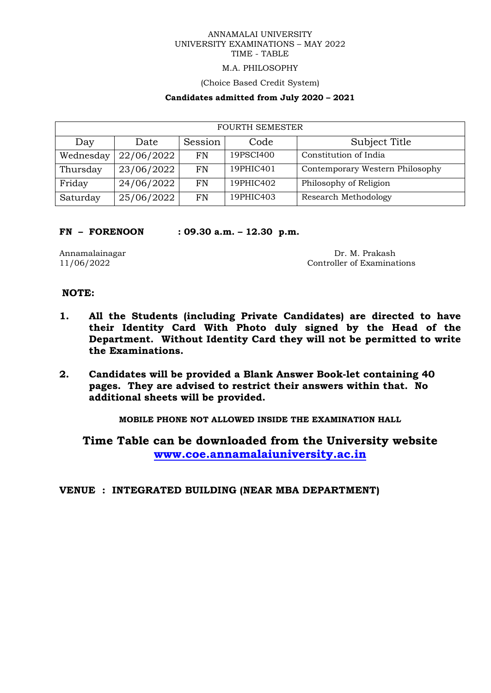# M.A. PHILOSOPHY

(Choice Based Credit System)

## **Candidates admitted from July 2020 – 2021**

| <b>FOURTH SEMESTER</b> |            |           |           |                                 |  |
|------------------------|------------|-----------|-----------|---------------------------------|--|
| Day                    | Date       | Session   | Code      | Subject Title                   |  |
| Wednesday              | 22/06/2022 | <b>FN</b> | 19PSCI400 | Constitution of India           |  |
| Thursday               | 23/06/2022 | FN        | 19PHIC401 | Contemporary Western Philosophy |  |
| Friday                 | 24/06/2022 | <b>FN</b> | 19PHIC402 | Philosophy of Religion          |  |
| Saturday               | 25/06/2022 | FN        | 19PHIC403 | Research Methodology            |  |

#### **FN – FORENOON : 09.30 a.m. – 12.30 p.m.**

Annamalainagar Dr. M. Prakash 11/06/2022 Controller of Examinations

# **NOTE:**

- **1. All the Students (including Private Candidates) are directed to have their Identity Card With Photo duly signed by the Head of the Department. Without Identity Card they will not be permitted to write the Examinations.**
- **2. Candidates will be provided a Blank Answer Book-let containing 40 pages. They are advised to restrict their answers within that. No additional sheets will be provided.**

**MOBILE PHONE NOT ALLOWED INSIDE THE EXAMINATION HALL**

**Time Table can be downloaded from the University website [www.coe.annamalaiuniversity.ac.in](http://www.coe.annamalaiuniversity.ac.in/)**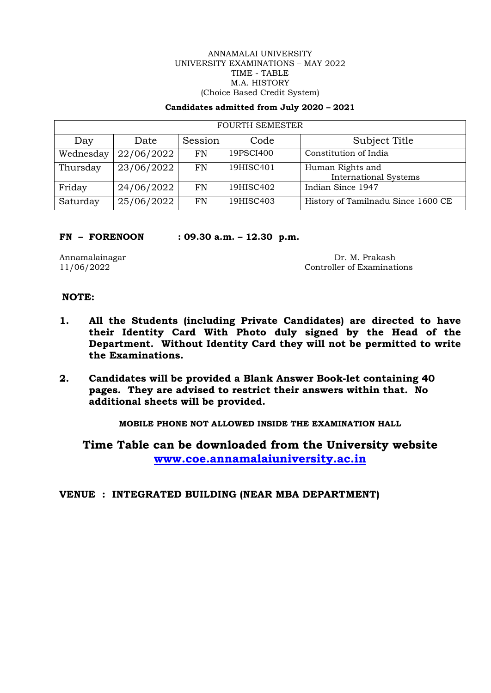#### ANNAMALAI UNIVERSITY UNIVERSITY EXAMINATIONS – MAY 2022 TIME - TABLE M.A. HISTORY (Choice Based Credit System)

#### **Candidates admitted from July 2020 – 2021**

| <b>FOURTH SEMESTER</b> |            |           |           |                                                  |  |
|------------------------|------------|-----------|-----------|--------------------------------------------------|--|
| Day                    | Date       | Session   | Code      | Subject Title                                    |  |
| Wednesday              | 22/06/2022 | FN        | 19PSCI400 | Constitution of India                            |  |
| Thursday               | 23/06/2022 | FN        | 19HISC401 | Human Rights and<br><b>International Systems</b> |  |
| Friday                 | 24/06/2022 | <b>FN</b> | 19HISC402 | Indian Since 1947                                |  |
| Saturday               | 25/06/2022 | FN        | 19HISC403 | History of Tamilnadu Since 1600 CE               |  |

#### **FN – FORENOON : 09.30 a.m. – 12.30 p.m.**

Annamalainagar Dr. M. Prakash 11/06/2022 Controller of Examinations

# **NOTE:**

- **1. All the Students (including Private Candidates) are directed to have their Identity Card With Photo duly signed by the Head of the Department. Without Identity Card they will not be permitted to write the Examinations.**
- **2. Candidates will be provided a Blank Answer Book-let containing 40 pages. They are advised to restrict their answers within that. No additional sheets will be provided.**

**MOBILE PHONE NOT ALLOWED INSIDE THE EXAMINATION HALL**

**Time Table can be downloaded from the University website [www.coe.annamalaiuniversity.ac.in](http://www.coe.annamalaiuniversity.ac.in/)**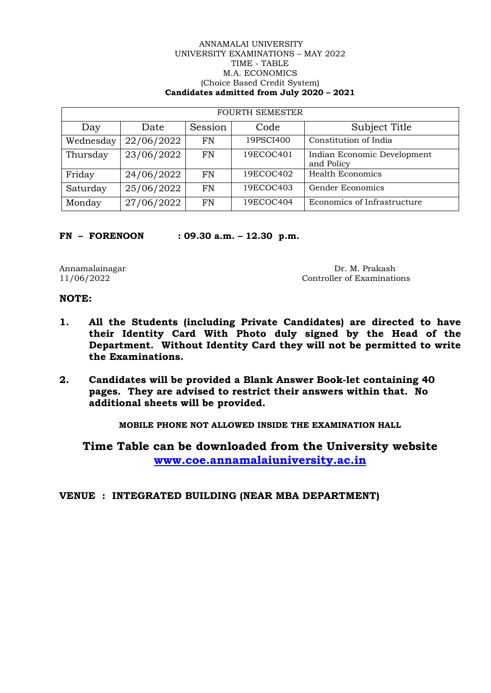#### ANNAMALAI UNIVERSITY UNIVERSITY EXAMINATIONS – MAY 2022 TIME - TABLE M.A. ECONOMICS (Choice Based Credit System) **Candidates admitted from July 2020 – 2021**

| <b>FOURTH SEMESTER</b> |            |           |           |                                           |  |
|------------------------|------------|-----------|-----------|-------------------------------------------|--|
| Day                    | Date       | Session   | Code      | Subject Title                             |  |
| Wednesday              | 22/06/2022 | FN        | 19PSCI400 | Constitution of India                     |  |
| Thursday               | 23/06/2022 | FN        | 19ECOC401 | Indian Economic Development<br>and Policy |  |
| Friday                 | 24/06/2022 | <b>FN</b> | 19ECOC402 | <b>Health Economics</b>                   |  |
| Saturday               | 25/06/2022 | <b>FN</b> | 19ECOC403 | Gender Economics                          |  |
| Monday                 | 27/06/2022 | FN        | 19ECOC404 | Economics of Infrastructure               |  |

**FN – FORENOON : 09.30 a.m. – 12.30 p.m.**

Annamalainagar Dr. M. Prakash 11/06/2022 Controller of Examination Controller of Examinations

# **NOTE:**

- **1. All the Students (including Private Candidates) are directed to have their Identity Card With Photo duly signed by the Head of the Department. Without Identity Card they will not be permitted to write the Examinations.**
- **2. Candidates will be provided a Blank Answer Book-let containing 40 pages. They are advised to restrict their answers within that. No additional sheets will be provided.**

**MOBILE PHONE NOT ALLOWED INSIDE THE EXAMINATION HALL**

**Time Table can be downloaded from the University website [www.coe.annamalaiuniversity.ac.in](http://www.coe.annamalaiuniversity.ac.in/)**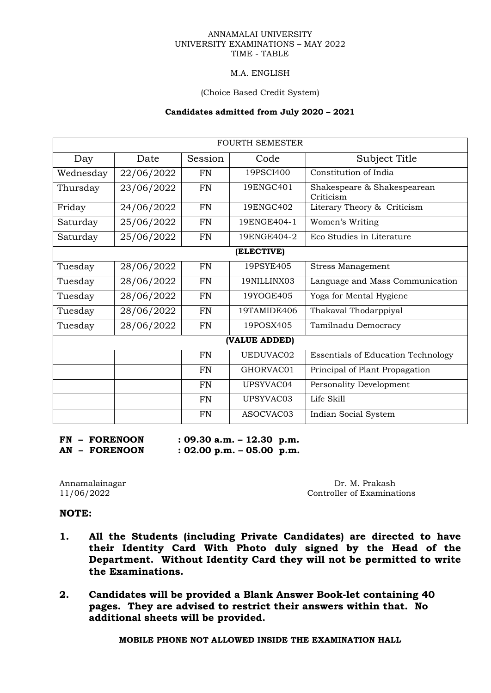## M.A. ENGLISH

#### (Choice Based Credit System)

#### **Candidates admitted from July 2020 – 2021**

|           |            |           | FOURTH SEMESTER |                                           |  |  |
|-----------|------------|-----------|-----------------|-------------------------------------------|--|--|
| Day       | Date       | Session   | Code            | Subject Title                             |  |  |
| Wednesday | 22/06/2022 | <b>FN</b> | 19PSCI400       | Constitution of India                     |  |  |
| Thursday  | 23/06/2022 | <b>FN</b> | 19ENGC401       | Shakespeare & Shakespearean<br>Criticism  |  |  |
| Friday    | 24/06/2022 | <b>FN</b> | 19ENGC402       | Literary Theory & Criticism               |  |  |
| Saturday  | 25/06/2022 | <b>FN</b> | 19ENGE404-1     | Women's Writing                           |  |  |
| Saturday  | 25/06/2022 | <b>FN</b> | 19ENGE404-2     | Eco Studies in Literature                 |  |  |
|           | (ELECTIVE) |           |                 |                                           |  |  |
| Tuesday   | 28/06/2022 | <b>FN</b> | 19PSYE405       | <b>Stress Management</b>                  |  |  |
| Tuesday   | 28/06/2022 | <b>FN</b> | 19NILLINX03     | Language and Mass Communication           |  |  |
| Tuesday   | 28/06/2022 | <b>FN</b> | 19YOGE405       | Yoga for Mental Hygiene                   |  |  |
| Tuesday   | 28/06/2022 | <b>FN</b> | 19TAMIDE406     | Thakaval Thodarppiyal                     |  |  |
| Tuesday   | 28/06/2022 | <b>FN</b> | 19POSX405       | Tamilnadu Democracy                       |  |  |
|           |            |           | (VALUE ADDED)   |                                           |  |  |
|           |            | <b>FN</b> | UEDUVAC02       | <b>Essentials of Education Technology</b> |  |  |
|           |            | <b>FN</b> | GHORVAC01       | Principal of Plant Propagation            |  |  |
|           |            | <b>FN</b> | UPSYVAC04       | Personality Development                   |  |  |
|           |            | FN        | UPSYVAC03       | Life Skill                                |  |  |
|           |            | <b>FN</b> | ASOCVAC03       | Indian Social System                      |  |  |

**FN – FORENOON : 09.30 a.m. – 12.30 p.m.**

**AN – FORENOON : 02.00 p.m. – 05.00 p.m.**

Annamalainagar Dr. M. Prakash 11/06/2022 Controller of Examinat Controller of Examinations

# **NOTE:**

- **1. All the Students (including Private Candidates) are directed to have their Identity Card With Photo duly signed by the Head of the Department. Without Identity Card they will not be permitted to write the Examinations.**
- **2. Candidates will be provided a Blank Answer Book-let containing 40 pages. They are advised to restrict their answers within that. No additional sheets will be provided.**

**MOBILE PHONE NOT ALLOWED INSIDE THE EXAMINATION HALL**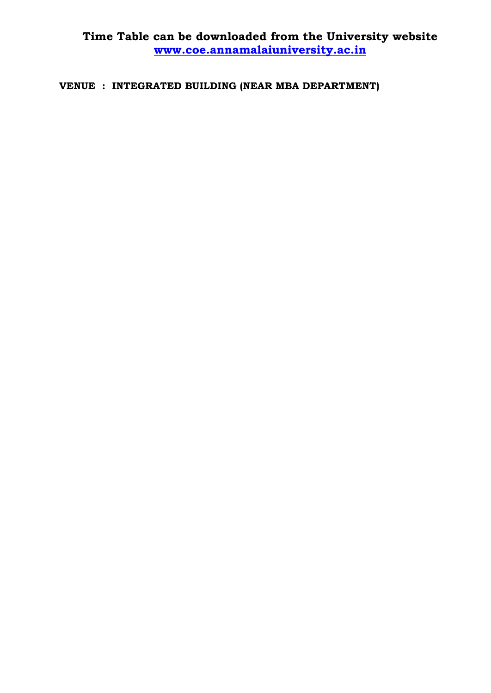**Time Table can be downloaded from the University website [www.coe.annamalaiuniversity.ac.in](http://www.coe.annamalaiuniversity.ac.in/)**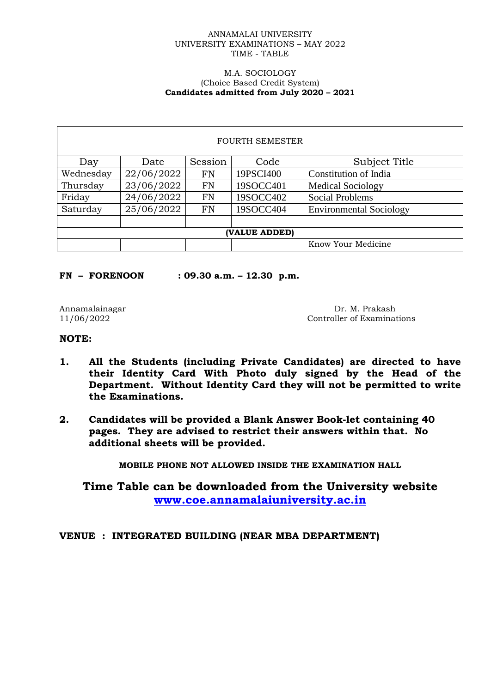#### M.A. SOCIOLOGY (Choice Based Credit System) **Candidates admitted from July 2020 – 2021**

| <b>FOURTH SEMESTER</b> |                    |           |           |                                |  |
|------------------------|--------------------|-----------|-----------|--------------------------------|--|
| Day                    | Date               | Session   | Code      | Subject Title                  |  |
| Wednesday              | 22/06/2022         | <b>FN</b> | 19PSCI400 | Constitution of India          |  |
| Thursday               | 23/06/2022         | <b>FN</b> | 19SOCC401 | <b>Medical Sociology</b>       |  |
| Friday                 | 24/06/2022         | <b>FN</b> | 19SOCC402 | <b>Social Problems</b>         |  |
| Saturday               | 25/06/2022         | <b>FN</b> | 19SOCC404 | <b>Environmental Sociology</b> |  |
|                        |                    |           |           |                                |  |
| (VALUE ADDED)          |                    |           |           |                                |  |
|                        | Know Your Medicine |           |           |                                |  |

**FN – FORENOON : 09.30 a.m. – 12.30 p.m.**

Annamalainagar Dr. M. Prakash 11/06/2022 Controller of Examination 2015 Controller of Examinations

# **NOTE:**

- **1. All the Students (including Private Candidates) are directed to have their Identity Card With Photo duly signed by the Head of the Department. Without Identity Card they will not be permitted to write the Examinations.**
- **2. Candidates will be provided a Blank Answer Book-let containing 40 pages. They are advised to restrict their answers within that. No additional sheets will be provided.**

**MOBILE PHONE NOT ALLOWED INSIDE THE EXAMINATION HALL**

**Time Table can be downloaded from the University website [www.coe.annamalaiuniversity.ac.in](http://www.coe.annamalaiuniversity.ac.in/)**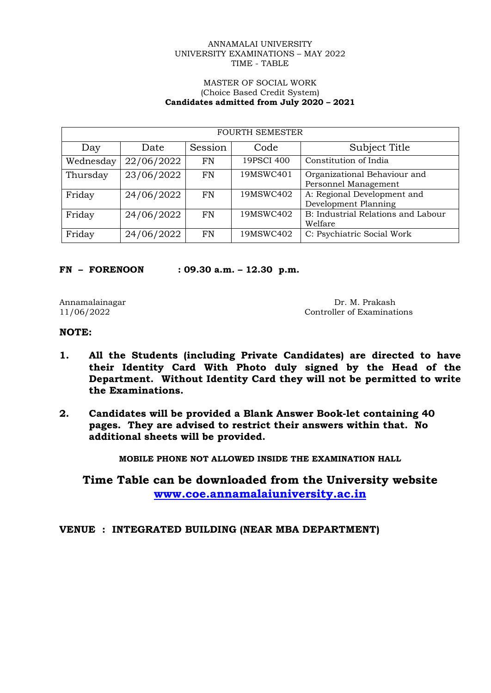#### MASTER OF SOCIAL WORK (Choice Based Credit System) **Candidates admitted from July 2020 – 2021**

| <b>FOURTH SEMESTER</b> |            |           |            |                                                      |  |
|------------------------|------------|-----------|------------|------------------------------------------------------|--|
| Day                    | Date       | Session   | Code       | Subject Title                                        |  |
| Wednesday              | 22/06/2022 | <b>FN</b> | 19PSCI 400 | Constitution of India                                |  |
| Thursday               | 23/06/2022 | <b>FN</b> | 19MSWC401  | Organizational Behaviour and<br>Personnel Management |  |
| Friday                 | 24/06/2022 | FN        | 19MSWC402  | A: Regional Development and<br>Development Planning  |  |
| Friday                 | 24/06/2022 | <b>FN</b> | 19MSWC402  | B: Industrial Relations and Labour<br>Welfare        |  |
| Friday                 | 24/06/2022 | FN        | 19MSWC402  | C: Psychiatric Social Work                           |  |

**FN – FORENOON : 09.30 a.m. – 12.30 p.m.**

Annamalainagar Dr. M. Prakash 11/06/2022 Controller of Examination Controller of Examination Controller of Examination Controller of Examination Controller of Examination Controller of Examination Controller of Examination Controller of Examinations

# **NOTE:**

- **1. All the Students (including Private Candidates) are directed to have their Identity Card With Photo duly signed by the Head of the Department. Without Identity Card they will not be permitted to write the Examinations.**
- **2. Candidates will be provided a Blank Answer Book-let containing 40 pages. They are advised to restrict their answers within that. No additional sheets will be provided.**

**MOBILE PHONE NOT ALLOWED INSIDE THE EXAMINATION HALL**

**Time Table can be downloaded from the University website [www.coe.annamalaiuniversity.ac.in](http://www.coe.annamalaiuniversity.ac.in/)**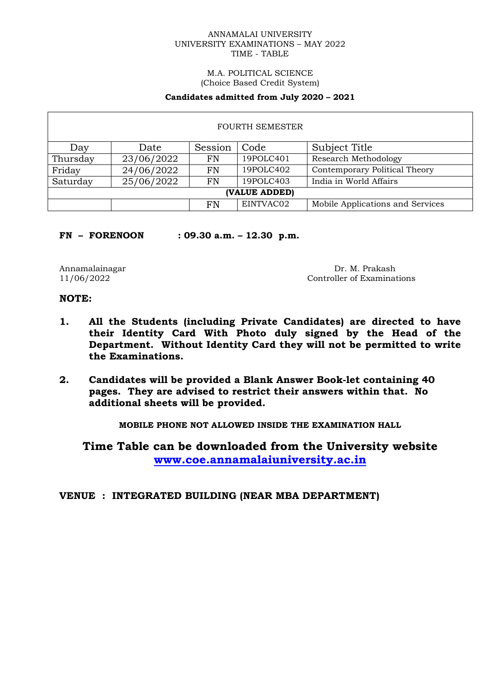#### M.A. POLITICAL SCIENCE (Choice Based Credit System)

#### **Candidates admitted from July 2020 – 2021**

| <b>FOURTH SEMESTER</b> |                                                         |           |           |                                  |  |
|------------------------|---------------------------------------------------------|-----------|-----------|----------------------------------|--|
| Day                    | Date                                                    | Session   | Code      | Subject Title                    |  |
| Thursday               | 23/06/2022                                              | <b>FN</b> | 19POLC401 | <b>Research Methodology</b>      |  |
| Friday                 | 24/06/2022                                              | <b>FN</b> | 19POLC402 | Contemporary Political Theory    |  |
| Saturday               | India in World Affairs<br>19POLC403<br>25/06/2022<br>FN |           |           |                                  |  |
| (VALUE ADDED)          |                                                         |           |           |                                  |  |
|                        |                                                         | FN        | EINTVAC02 | Mobile Applications and Services |  |

# **FN – FORENOON : 09.30 a.m. – 12.30 p.m.**

Annamalainagar Dr. M. Prakash 11/06/2022 Controller of Examinat Controller of Examinations

# **NOTE:**

- **1. All the Students (including Private Candidates) are directed to have their Identity Card With Photo duly signed by the Head of the Department. Without Identity Card they will not be permitted to write the Examinations.**
- **2. Candidates will be provided a Blank Answer Book-let containing 40 pages. They are advised to restrict their answers within that. No additional sheets will be provided.**

**MOBILE PHONE NOT ALLOWED INSIDE THE EXAMINATION HALL**

**Time Table can be downloaded from the University website [www.coe.annamalaiuniversity.ac.in](http://www.coe.annamalaiuniversity.ac.in/)**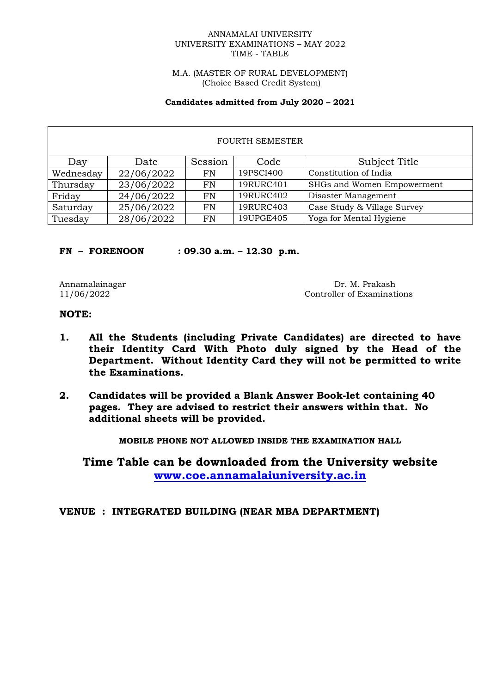M.A. (MASTER OF RURAL DEVELOPMENT) (Choice Based Credit System)

#### **Candidates admitted from July 2020 – 2021**

| <b>FOURTH SEMESTER</b> |            |         |           |                             |  |
|------------------------|------------|---------|-----------|-----------------------------|--|
| Day                    | Date       | Session | Code      | Subject Title               |  |
| Wednesday              | 22/06/2022 | FN      | 19PSCI400 | Constitution of India       |  |
| Thursday               | 23/06/2022 | FN      | 19RURC401 | SHGs and Women Empowerment  |  |
| Friday                 | 24/06/2022 | FN      | 19RURC402 | Disaster Management         |  |
| Saturday               | 25/06/2022 | FN      | 19RURC403 | Case Study & Village Survey |  |
| Tuesday                | 28/06/2022 | FN      | 19UPGE405 | Yoga for Mental Hygiene     |  |

## **FN – FORENOON : 09.30 a.m. – 12.30 p.m.**

Annamalainagar Dr. M. Prakash 11/06/2022 Controller of Examination Controller of Examination Controller of Examination Controller of Examination Controller of Examination Controller of Examination Controller of Examination Controller of Examinations

# **NOTE:**

- **1. All the Students (including Private Candidates) are directed to have their Identity Card With Photo duly signed by the Head of the Department. Without Identity Card they will not be permitted to write the Examinations.**
- **2. Candidates will be provided a Blank Answer Book-let containing 40 pages. They are advised to restrict their answers within that. No additional sheets will be provided.**

**MOBILE PHONE NOT ALLOWED INSIDE THE EXAMINATION HALL**

**Time Table can be downloaded from the University website [www.coe.annamalaiuniversity.ac.in](http://www.coe.annamalaiuniversity.ac.in/)**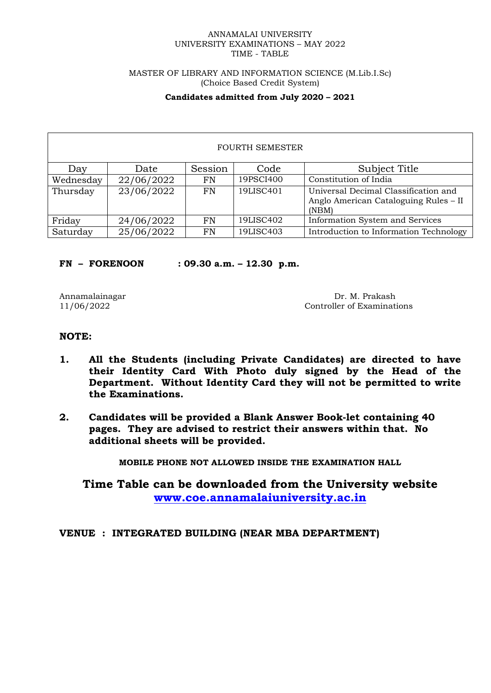#### MASTER OF LIBRARY AND INFORMATION SCIENCE (M.Lib.I.Sc) (Choice Based Credit System)

# **Candidates admitted from July 2020 – 2021**

| <b>FOURTH SEMESTER</b> |            |         |           |                                                                                        |
|------------------------|------------|---------|-----------|----------------------------------------------------------------------------------------|
| Day                    | Date       | Session | Code      | Subject Title                                                                          |
| Wednesday              | 22/06/2022 | FN      | 19PSCI400 | Constitution of India                                                                  |
| Thursday               | 23/06/2022 | FN      | 19LISC401 | Universal Decimal Classification and<br>Anglo American Cataloguing Rules – II<br>(NBM) |
| Friday                 | 24/06/2022 | FN      | 19LISC402 | Information System and Services                                                        |
| Saturday               | 25/06/2022 | FN      | 19LISC403 | Introduction to Information Technology                                                 |

# **FN – FORENOON : 09.30 a.m. – 12.30 p.m.**

Annamalainagar Dr. M. Prakash 11/06/2022 Controller of Examinations

# **NOTE:**

- **1. All the Students (including Private Candidates) are directed to have their Identity Card With Photo duly signed by the Head of the Department. Without Identity Card they will not be permitted to write the Examinations.**
- **2. Candidates will be provided a Blank Answer Book-let containing 40 pages. They are advised to restrict their answers within that. No additional sheets will be provided.**

**MOBILE PHONE NOT ALLOWED INSIDE THE EXAMINATION HALL**

**Time Table can be downloaded from the University website [www.coe.annamalaiuniversity.ac.in](http://www.coe.annamalaiuniversity.ac.in/)**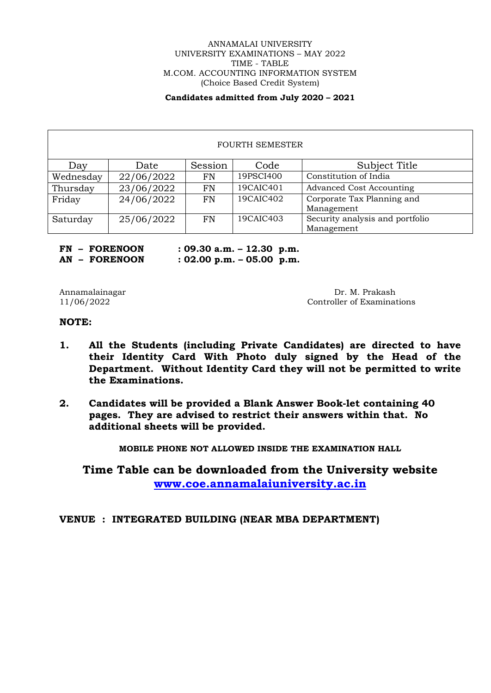## ANNAMALAI UNIVERSITY UNIVERSITY EXAMINATIONS – MAY 2022 TIME - TABLE M.COM. ACCOUNTING INFORMATION SYSTEM (Choice Based Credit System)

## **Candidates admitted from July 2020 – 2021**

| <b>FOURTH SEMESTER</b> |            |           |           |                                 |  |
|------------------------|------------|-----------|-----------|---------------------------------|--|
| Day                    | Date       | Session   | Code      | Subject Title                   |  |
| Wednesday              | 22/06/2022 | FN        | 19PSCI400 | Constitution of India           |  |
| Thursday               | 23/06/2022 | FN        | 19CAIC401 | <b>Advanced Cost Accounting</b> |  |
| Friday                 | 24/06/2022 | FN        | 19CAIC402 | Corporate Tax Planning and      |  |
|                        |            |           |           | Management                      |  |
| Saturday               | 25/06/2022 | <b>FN</b> | 19CAIC403 | Security analysis and portfolio |  |
|                        |            |           |           | Management                      |  |

**FN – FORENOON : 09.30 a.m. – 12.30 p.m. AN – FORENOON : 02.00 p.m. – 05.00 p.m.**

Annamalainagar Dr. M. Prakash 11/06/2022 Controller of Examinations

## **NOTE:**

- **1. All the Students (including Private Candidates) are directed to have their Identity Card With Photo duly signed by the Head of the Department. Without Identity Card they will not be permitted to write the Examinations.**
- **2. Candidates will be provided a Blank Answer Book-let containing 40 pages. They are advised to restrict their answers within that. No additional sheets will be provided.**

**MOBILE PHONE NOT ALLOWED INSIDE THE EXAMINATION HALL**

**Time Table can be downloaded from the University website [www.coe.annamalaiuniversity.ac.in](http://www.coe.annamalaiuniversity.ac.in/)**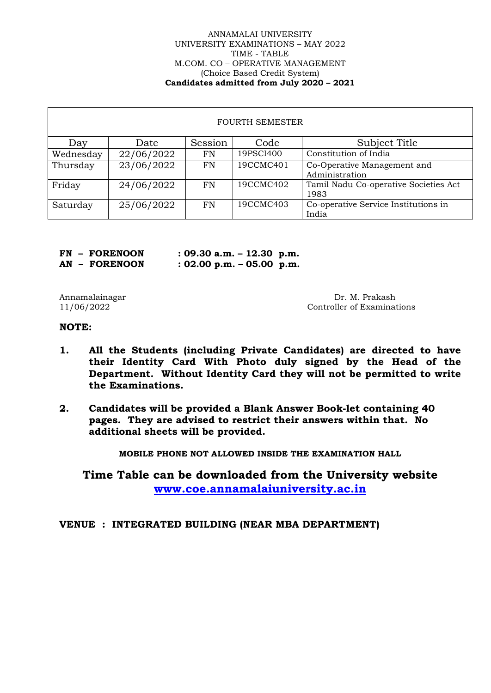#### ANNAMALAI UNIVERSITY UNIVERSITY EXAMINATIONS – MAY 2022 TIME - TABLE M.COM. CO – OPERATIVE MANAGEMENT (Choice Based Credit System) **Candidates admitted from July 2020 – 2021**

| <b>FOURTH SEMESTER</b> |            |         |           |                                       |
|------------------------|------------|---------|-----------|---------------------------------------|
| Day                    | Date       | Session | Code      | Subject Title                         |
| Wednesday              | 22/06/2022 | FN      | 19PSCI400 | Constitution of India                 |
| Thursday               | 23/06/2022 | FN      | 19CCMC401 | Co-Operative Management and           |
|                        |            |         |           | Administration                        |
| Friday                 | 24/06/2022 | FN      | 19CCMC402 | Tamil Nadu Co-operative Societies Act |
|                        |            |         |           | 1983                                  |
| Saturday               | 25/06/2022 | FN      | 19CCMC403 | Co-operative Service Institutions in  |
|                        |            |         |           | India                                 |

**FN – FORENOON : 09.30 a.m. – 12.30 p.m. AN – FORENOON : 02.00 p.m. – 05.00 p.m.**

Annamalainagar Dr. M. Prakash 11/06/2022 Controller of Examinations

# **NOTE:**

- **1. All the Students (including Private Candidates) are directed to have their Identity Card With Photo duly signed by the Head of the Department. Without Identity Card they will not be permitted to write the Examinations.**
- **2. Candidates will be provided a Blank Answer Book-let containing 40 pages. They are advised to restrict their answers within that. No additional sheets will be provided.**

**MOBILE PHONE NOT ALLOWED INSIDE THE EXAMINATION HALL**

**Time Table can be downloaded from the University website [www.coe.annamalaiuniversity.ac.in](http://www.coe.annamalaiuniversity.ac.in/)**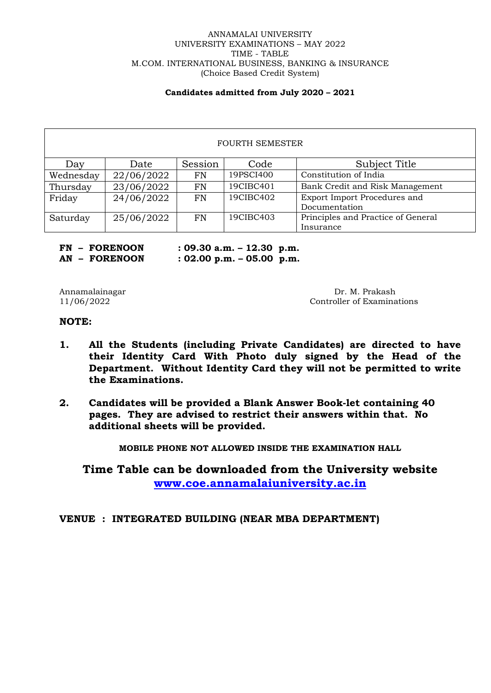#### ANNAMALAI UNIVERSITY UNIVERSITY EXAMINATIONS – MAY 2022 TIME - TABLE M.COM. INTERNATIONAL BUSINESS, BANKING & INSURANCE (Choice Based Credit System)

#### **Candidates admitted from July 2020 – 2021**

| <b>FOURTH SEMESTER</b> |            |         |           |                                    |
|------------------------|------------|---------|-----------|------------------------------------|
| Day                    | Date       | Session | Code      | Subject Title                      |
| Wednesday              | 22/06/2022 | FN      | 19PSCI400 | Constitution of India              |
| Thursday               | 23/06/2022 | FN      | 19CIBC401 | Bank Credit and Risk Management    |
| Friday                 | 24/06/2022 | FN      | 19CIBC402 | Export Import Procedures and       |
|                        |            |         |           | Documentation                      |
| Saturday               | 25/06/2022 | FN      | 19CIBC403 | Principles and Practice of General |
|                        |            |         |           | Insurance                          |

**FN – FORENOON : 09.30 a.m. – 12.30 p.m. AN – FORENOON : 02.00 p.m. – 05.00 p.m.**

Annamalainagar Dr. M. Prakash 11/06/2022 Controller of Examina Controller of Examinations

# **NOTE:**

- **1. All the Students (including Private Candidates) are directed to have their Identity Card With Photo duly signed by the Head of the Department. Without Identity Card they will not be permitted to write the Examinations.**
- **2. Candidates will be provided a Blank Answer Book-let containing 40 pages. They are advised to restrict their answers within that. No additional sheets will be provided.**

**MOBILE PHONE NOT ALLOWED INSIDE THE EXAMINATION HALL**

**Time Table can be downloaded from the University website [www.coe.annamalaiuniversity.ac.in](http://www.coe.annamalaiuniversity.ac.in/)**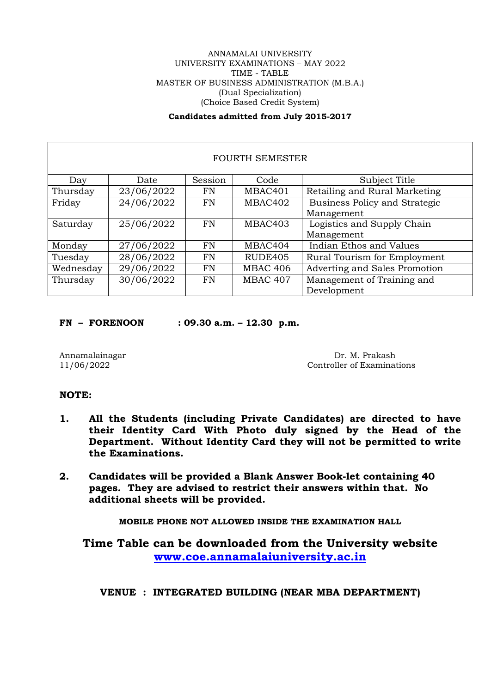#### ANNAMALAI UNIVERSITY UNIVERSITY EXAMINATIONS – MAY 2022 TIME - TABLE MASTER OF BUSINESS ADMINISTRATION (M.B.A.) (Dual Specialization) (Choice Based Credit System)

# **Candidates admitted from July 2015-2017**

| <b>FOURTH SEMESTER</b> |            |           |                 |                               |  |
|------------------------|------------|-----------|-----------------|-------------------------------|--|
| Day                    | Date       | Session   | Code            | Subject Title                 |  |
| Thursday               | 23/06/2022 | FN        | MBAC401         | Retailing and Rural Marketing |  |
| Friday                 | 24/06/2022 | <b>FN</b> | MBAC402         | Business Policy and Strategic |  |
|                        |            |           |                 | Management                    |  |
| Saturday               | 25/06/2022 | <b>FN</b> | MBAC403         | Logistics and Supply Chain    |  |
|                        |            |           |                 | Management                    |  |
| Monday                 | 27/06/2022 | <b>FN</b> | MBAC404         | Indian Ethos and Values       |  |
| Tuesday                | 28/06/2022 | FN        | RUDE405         | Rural Tourism for Employment  |  |
| Wednesday              | 29/06/2022 | FN        | <b>MBAC 406</b> | Adverting and Sales Promotion |  |
| Thursday               | 30/06/2022 | FN        | <b>MBAC 407</b> | Management of Training and    |  |
|                        |            |           |                 | Development                   |  |

**FN – FORENOON : 09.30 a.m. – 12.30 p.m.**

Annamalainagar Dr. M. Prakash Dr. M. Prakash Dr. M. Prakash Dr. M. Prakash Dr. M. Prakash Dr. M. Prakash Dr. M Controller of Examinations

# **NOTE:**

- **1. All the Students (including Private Candidates) are directed to have their Identity Card With Photo duly signed by the Head of the Department. Without Identity Card they will not be permitted to write the Examinations.**
- **2. Candidates will be provided a Blank Answer Book-let containing 40 pages. They are advised to restrict their answers within that. No additional sheets will be provided.**

**MOBILE PHONE NOT ALLOWED INSIDE THE EXAMINATION HALL**

**Time Table can be downloaded from the University website [www.coe.annamalaiuniversity.ac.in](http://www.coe.annamalaiuniversity.ac.in/)**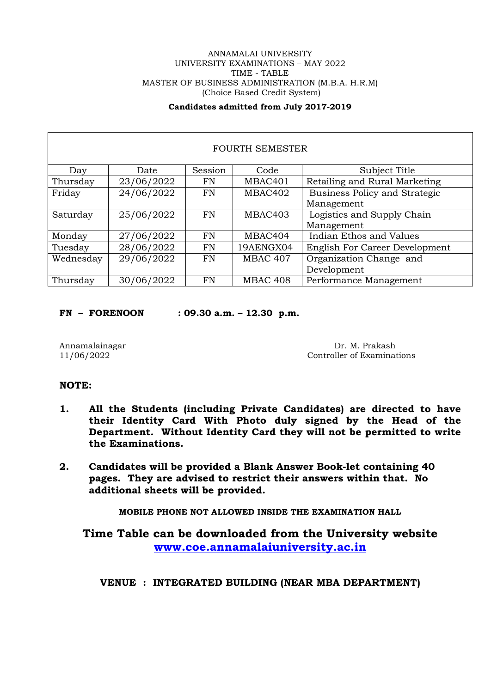## ANNAMALAI UNIVERSITY UNIVERSITY EXAMINATIONS – MAY 2022 TIME - TABLE MASTER OF BUSINESS ADMINISTRATION (M.B.A. H.R.M) (Choice Based Credit System)

# **Candidates admitted from July 2017-2019**

| <b>FOURTH SEMESTER</b> |            |           |                 |                                      |  |  |
|------------------------|------------|-----------|-----------------|--------------------------------------|--|--|
| Day                    | Date       | Session   | Code            | Subject Title                        |  |  |
| Thursday               | 23/06/2022 | FN        | MBAC401         | Retailing and Rural Marketing        |  |  |
| Friday                 | 24/06/2022 | <b>FN</b> | MBAC402         | <b>Business Policy and Strategic</b> |  |  |
|                        |            |           |                 | Management                           |  |  |
| Saturday               | 25/06/2022 | FN        | MBAC403         | Logistics and Supply Chain           |  |  |
|                        |            |           |                 | Management                           |  |  |
| Monday                 | 27/06/2022 | FN        | MBAC404         | Indian Ethos and Values              |  |  |
| Tuesday                | 28/06/2022 | FN        | 19AENGX04       | English For Career Development       |  |  |
| Wednesday              | 29/06/2022 | <b>FN</b> | <b>MBAC 407</b> | Organization Change and              |  |  |
|                        |            |           |                 | Development                          |  |  |
| Thursday               | 30/06/2022 | FN        | <b>MBAC 408</b> | Performance Management               |  |  |

**FN – FORENOON : 09.30 a.m. – 12.30 p.m.**

Annamalainagar Dr. M. Prakash 11/06/2022 Controller of Examinations

# **NOTE:**

- **1. All the Students (including Private Candidates) are directed to have their Identity Card With Photo duly signed by the Head of the Department. Without Identity Card they will not be permitted to write the Examinations.**
- **2. Candidates will be provided a Blank Answer Book-let containing 40 pages. They are advised to restrict their answers within that. No additional sheets will be provided.**

**MOBILE PHONE NOT ALLOWED INSIDE THE EXAMINATION HALL**

**Time Table can be downloaded from the University website [www.coe.annamalaiuniversity.ac.in](http://www.coe.annamalaiuniversity.ac.in/)**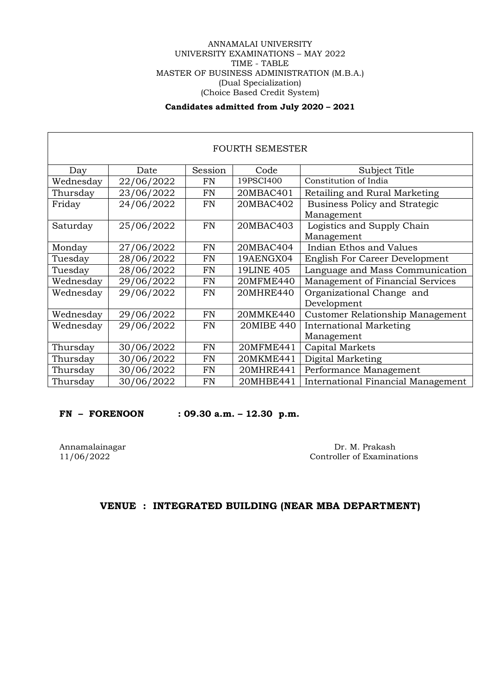# ANNAMALAI UNIVERSITY UNIVERSITY EXAMINATIONS – MAY 2022 TIME - TABLE MASTER OF BUSINESS ADMINISTRATION (M.B.A.) (Dual Specialization) (Choice Based Credit System)

# **Candidates admitted from July 2020 – 2021**

| <b>FOURTH SEMESTER</b> |            |           |                   |                                                    |  |  |
|------------------------|------------|-----------|-------------------|----------------------------------------------------|--|--|
| Day                    | Date       | Session   | Code              | Subject Title                                      |  |  |
| Wednesday              | 22/06/2022 | <b>FN</b> | 19PSCI400         | Constitution of India                              |  |  |
| Thursday               | 23/06/2022 | <b>FN</b> | 20MBAC401         | Retailing and Rural Marketing                      |  |  |
| Friday                 | 24/06/2022 | <b>FN</b> | 20MBAC402         | <b>Business Policy and Strategic</b><br>Management |  |  |
| Saturday               | 25/06/2022 | <b>FN</b> | 20MBAC403         | Logistics and Supply Chain<br>Management           |  |  |
| Monday                 | 27/06/2022 | <b>FN</b> | 20MBAC404         | Indian Ethos and Values                            |  |  |
| Tuesday                | 28/06/2022 | FN        | 19AENGX04         | English For Career Development                     |  |  |
| Tuesday                | 28/06/2022 | <b>FN</b> | <b>19LINE 405</b> | Language and Mass Communication                    |  |  |
| Wednesday              | 29/06/2022 | <b>FN</b> | 20MFME440         | Management of Financial Services                   |  |  |
| Wednesday              | 29/06/2022 | <b>FN</b> | 20MHRE440         | Organizational Change and<br>Development           |  |  |
| Wednesday              | 29/06/2022 | <b>FN</b> | 20MMKE440         | Customer Relationship Management                   |  |  |
| Wednesday              | 29/06/2022 | <b>FN</b> | 20MIBE 440        | <b>International Marketing</b>                     |  |  |
|                        |            |           |                   | Management                                         |  |  |
| Thursday               | 30/06/2022 | <b>FN</b> | 20MFME441         | Capital Markets                                    |  |  |
| Thursday               | 30/06/2022 | <b>FN</b> | 20MKME441         | Digital Marketing                                  |  |  |
| Thursday               | 30/06/2022 | <b>FN</b> | 20MHRE441         | Performance Management                             |  |  |
| Thursday               | 30/06/2022 | <b>FN</b> | 20MHBE441         | International Financial Management                 |  |  |

## **FN – FORENOON : 09.30 a.m. – 12.30 p.m.**

 $\Gamma$ 

Annamalainagar Dr. M. Prakash 11/06/2022 Controller of Examinations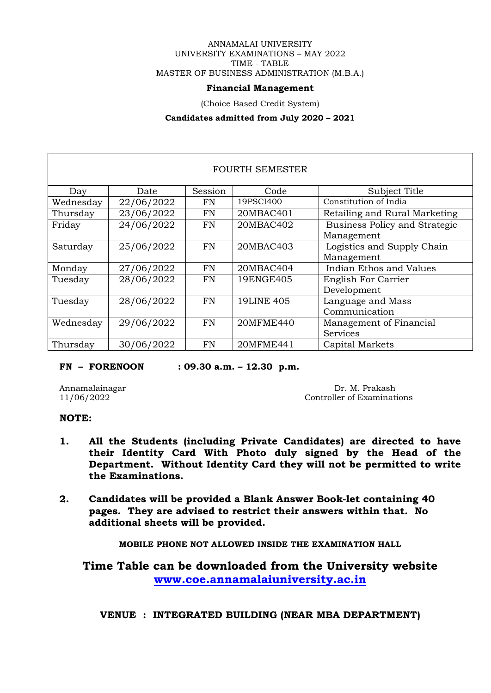#### ANNAMALAI UNIVERSITY UNIVERSITY EXAMINATIONS – MAY 2022 TIME - TABLE MASTER OF BUSINESS ADMINISTRATION (M.B.A.)

# **Financial Management**

(Choice Based Credit System)

#### **Candidates admitted from July 2020 – 2021**

| <b>FOURTH SEMESTER</b> |            |           |                   |                                                    |  |  |
|------------------------|------------|-----------|-------------------|----------------------------------------------------|--|--|
| Day                    | Date       | Session   | Code              | Subject Title                                      |  |  |
| Wednesday              | 22/06/2022 | FN        | 19PSCI400         | Constitution of India                              |  |  |
| Thursday               | 23/06/2022 | FN        | 20MBAC401         | Retailing and Rural Marketing                      |  |  |
| Friday                 | 24/06/2022 | <b>FN</b> | 20MBAC402         | <b>Business Policy and Strategic</b><br>Management |  |  |
| Saturday               | 25/06/2022 | <b>FN</b> | 20MBAC403         | Logistics and Supply Chain<br>Management           |  |  |
| Monday                 | 27/06/2022 | <b>FN</b> | 20MBAC404         | Indian Ethos and Values                            |  |  |
| Tuesday                | 28/06/2022 | <b>FN</b> | 19ENGE405         | <b>English For Carrier</b><br>Development          |  |  |
| Tuesday                | 28/06/2022 | <b>FN</b> | <b>19LINE 405</b> | Language and Mass<br>Communication                 |  |  |
| Wednesday              | 29/06/2022 | <b>FN</b> | 20MFME440         | Management of Financial<br>Services                |  |  |
| Thursday               | 30/06/2022 | FN        | 20MFME441         | Capital Markets                                    |  |  |

**FN – FORENOON : 09.30 a.m. – 12.30 p.m.**

Annamalainagar Dr. M. Prakash 11/06/2022 Controller of Examinations

# **NOTE:**

- **1. All the Students (including Private Candidates) are directed to have their Identity Card With Photo duly signed by the Head of the Department. Without Identity Card they will not be permitted to write the Examinations.**
- **2. Candidates will be provided a Blank Answer Book-let containing 40 pages. They are advised to restrict their answers within that. No additional sheets will be provided.**

**MOBILE PHONE NOT ALLOWED INSIDE THE EXAMINATION HALL**

**Time Table can be downloaded from the University website [www.coe.annamalaiuniversity.ac.in](http://www.coe.annamalaiuniversity.ac.in/)**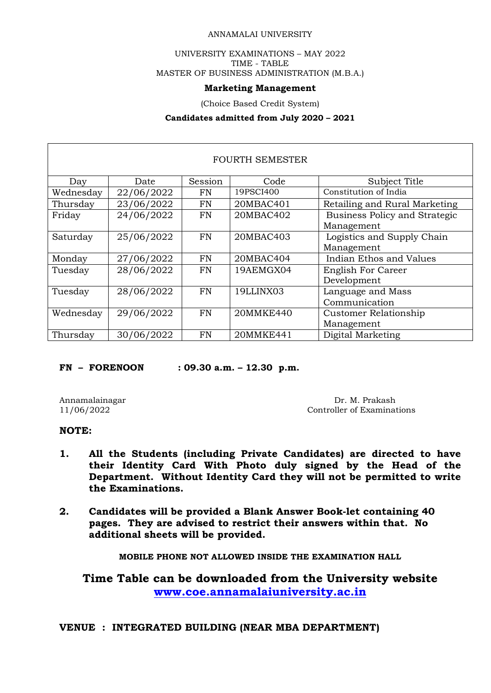# ANNAMALAI UNIVERSITY

## UNIVERSITY EXAMINATIONS – MAY 2022 TIME - TABLE MASTER OF BUSINESS ADMINISTRATION (M.B.A.)

#### **Marketing Management**

(Choice Based Credit System)

#### **Candidates admitted from July 2020 – 2021**

| <b>FOURTH SEMESTER</b> |            |         |           |                               |  |  |
|------------------------|------------|---------|-----------|-------------------------------|--|--|
| Day                    | Date       | Session | Code      | Subject Title                 |  |  |
| Wednesday              | 22/06/2022 | FN      | 19PSCI400 | Constitution of India         |  |  |
| Thursday               | 23/06/2022 | FN      | 20MBAC401 | Retailing and Rural Marketing |  |  |
| Friday                 | 24/06/2022 | FN      | 20MBAC402 | Business Policy and Strategic |  |  |
|                        |            |         |           | Management                    |  |  |
| Saturday               | 25/06/2022 | FN      | 20MBAC403 | Logistics and Supply Chain    |  |  |
|                        |            |         |           | Management                    |  |  |
| Monday                 | 27/06/2022 | FN      | 20MBAC404 | Indian Ethos and Values       |  |  |
| Tuesday                | 28/06/2022 | FN      | 19AEMGX04 | <b>English For Career</b>     |  |  |
|                        |            |         |           | Development                   |  |  |
| Tuesday                | 28/06/2022 | FN      | 19LLINX03 | Language and Mass             |  |  |
|                        |            |         |           | Communication                 |  |  |
| Wednesday              | 29/06/2022 | FN      | 20MMKE440 | Customer Relationship         |  |  |
|                        |            |         |           | Management                    |  |  |
| Thursday               | 30/06/2022 | FN      | 20MMKE441 | Digital Marketing             |  |  |

**FN – FORENOON : 09.30 a.m. – 12.30 p.m.**

Annamalainagar Dr. M. Prakash Dr. M. Prakash Dr. M. Prakash Dr. M. Prakash Dr. M. Prakash Dr. M. Prakash Dr. M Controller of Examinations

# **NOTE:**

- **1. All the Students (including Private Candidates) are directed to have their Identity Card With Photo duly signed by the Head of the Department. Without Identity Card they will not be permitted to write the Examinations.**
- **2. Candidates will be provided a Blank Answer Book-let containing 40 pages. They are advised to restrict their answers within that. No additional sheets will be provided.**

**MOBILE PHONE NOT ALLOWED INSIDE THE EXAMINATION HALL**

**Time Table can be downloaded from the University website [www.coe.annamalaiuniversity.ac.in](http://www.coe.annamalaiuniversity.ac.in/)**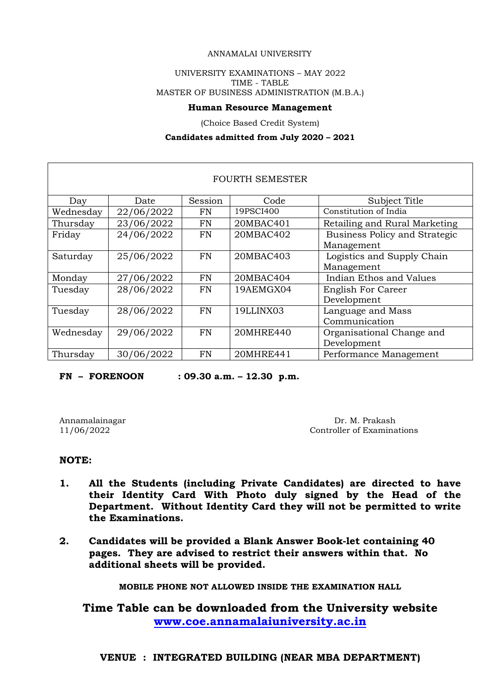#### ANNAMALAI UNIVERSITY

## UNIVERSITY EXAMINATIONS – MAY 2022 TIME - TABLE MASTER OF BUSINESS ADMINISTRATION (M.B.A.)

#### **Human Resource Management**

(Choice Based Credit System)

#### **Candidates admitted from July 2020 – 2021**

| FOURTH SEMESTER |            |           |           |                                      |  |  |
|-----------------|------------|-----------|-----------|--------------------------------------|--|--|
| Day             | Date       | Session   | Code      | Subject Title                        |  |  |
| Wednesday       | 22/06/2022 | FN        | 19PSCI400 | Constitution of India                |  |  |
| Thursday        | 23/06/2022 | <b>FN</b> | 20MBAC401 | Retailing and Rural Marketing        |  |  |
| Friday          | 24/06/2022 | FN        | 20MBAC402 | <b>Business Policy and Strategic</b> |  |  |
|                 |            |           |           | Management                           |  |  |
| Saturday        | 25/06/2022 | FN        | 20MBAC403 | Logistics and Supply Chain           |  |  |
|                 |            |           |           | Management                           |  |  |
| Monday          | 27/06/2022 | FN        | 20MBAC404 | Indian Ethos and Values              |  |  |
| Tuesday         | 28/06/2022 | FN        | 19AEMGX04 | <b>English For Career</b>            |  |  |
|                 |            |           |           | Development                          |  |  |
| Tuesday         | 28/06/2022 | <b>FN</b> | 19LLINX03 | Language and Mass                    |  |  |
|                 |            |           |           | Communication                        |  |  |
| Wednesday       | 29/06/2022 | <b>FN</b> | 20MHRE440 | Organisational Change and            |  |  |
|                 |            |           |           | Development                          |  |  |
| Thursday        | 30/06/2022 | FN        | 20MHRE441 | Performance Management               |  |  |

**FN – FORENOON : 09.30 a.m. – 12.30 p.m.**

Annamalainagar Dr. M. Prakash 11/06/2022 Controller of Examina Controller of Examinations

#### **NOTE:**

- **1. All the Students (including Private Candidates) are directed to have their Identity Card With Photo duly signed by the Head of the Department. Without Identity Card they will not be permitted to write the Examinations.**
- **2. Candidates will be provided a Blank Answer Book-let containing 40 pages. They are advised to restrict their answers within that. No additional sheets will be provided.**

**MOBILE PHONE NOT ALLOWED INSIDE THE EXAMINATION HALL**

**Time Table can be downloaded from the University website [www.coe.annamalaiuniversity.ac.in](http://www.coe.annamalaiuniversity.ac.in/)**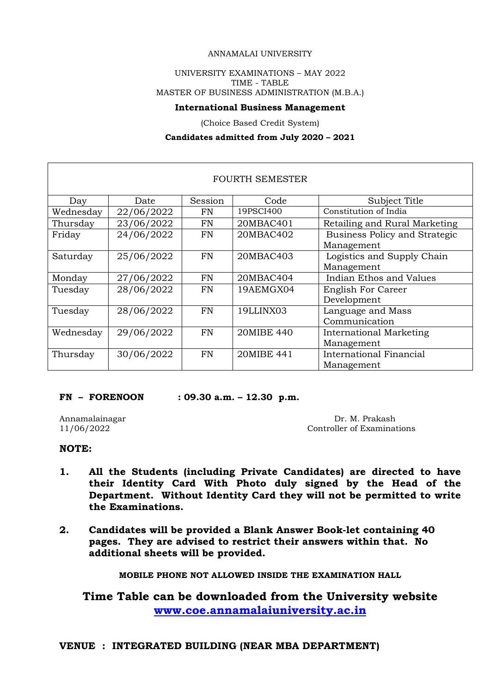## ANNAMALAI UNIVERSITY

# UNIVERSITY EXAMINATIONS – MAY 2022 TIME - TABLE MASTER OF BUSINESS ADMINISTRATION (M.B.A.)

#### **International Business Management**

(Choice Based Credit System)

#### **Candidates admitted from July 2020 – 2021**

| <b>FOURTH SEMESTER</b> |            |           |            |                                              |  |  |
|------------------------|------------|-----------|------------|----------------------------------------------|--|--|
| Day                    | Date       | Session   | Code       | Subject Title                                |  |  |
| Wednesday              | 22/06/2022 | FN        | 19PSCI400  | Constitution of India                        |  |  |
| Thursday               | 23/06/2022 | <b>FN</b> | 20MBAC401  | Retailing and Rural Marketing                |  |  |
| Friday                 | 24/06/2022 | <b>FN</b> | 20MBAC402  | Business Policy and Strategic<br>Management  |  |  |
| Saturday               | 25/06/2022 | <b>FN</b> | 20MBAC403  | Logistics and Supply Chain<br>Management     |  |  |
| Monday                 | 27/06/2022 | <b>FN</b> | 20MBAC404  | Indian Ethos and Values                      |  |  |
| Tuesday                | 28/06/2022 | FN        | 19AEMGX04  | <b>English For Career</b><br>Development     |  |  |
| Tuesday                | 28/06/2022 | <b>FN</b> | 19LLINX03  | Language and Mass<br>Communication           |  |  |
| Wednesday              | 29/06/2022 | <b>FN</b> | 20MIBE 440 | <b>International Marketing</b><br>Management |  |  |
| Thursday               | 30/06/2022 | FN        | 20MIBE 441 | International Financial<br>Management        |  |  |

**FN – FORENOON : 09.30 a.m. – 12.30 p.m.**

Annamalainagar Dr. M. Prakash Dr. M. Prakash Dr. M. Prakash Dr. M. Prakash Dr. M. Prakash Dr. M. Prakash Dr. M Controller of Examinations

# **NOTE:**

- **1. All the Students (including Private Candidates) are directed to have their Identity Card With Photo duly signed by the Head of the Department. Without Identity Card they will not be permitted to write the Examinations.**
- **2. Candidates will be provided a Blank Answer Book-let containing 40 pages. They are advised to restrict their answers within that. No additional sheets will be provided.**

**MOBILE PHONE NOT ALLOWED INSIDE THE EXAMINATION HALL**

**Time Table can be downloaded from the University website [www.coe.annamalaiuniversity.ac.in](http://www.coe.annamalaiuniversity.ac.in/)**